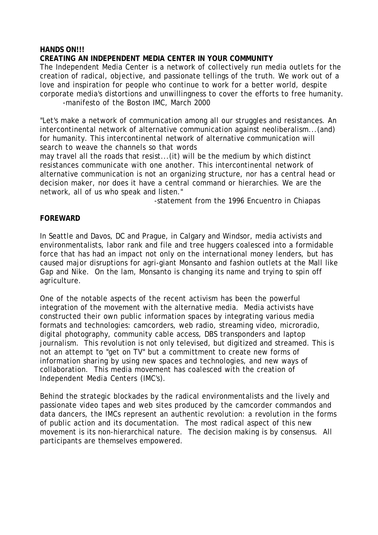#### **HANDS ON!!!**

## **CREATING AN INDEPENDENT MEDIA CENTER IN YOUR COMMUNITY**

The Independent Media Center is a network of collectively run media outlets for the creation of radical, objective, and passionate tellings of the truth. We work out of a love and inspiration for people who continue to work for a better world, despite corporate media's distortions and unwillingness to cover the efforts to free humanity. -manifesto of the Boston IMC, March 2000

"Let's make a network of communication among all our struggles and resistances. An intercontinental network of alternative communication against neoliberalism...(and) for humanity. This intercontinental network of alternative communication will search to weave the channels so that words

may travel all the roads that resist...(it) will be the medium by which distinct resistances communicate with one another. This intercontinental network of alternative communication is not an organizing structure, nor has a central head or decision maker, nor does it have a central command or hierarchies. We are the network, all of us who speak and listen."

-statement from the 1996 Encuentro in Chiapas

#### **FOREWARD**

In Seattle and Davos, DC and Prague, in Calgary and Windsor, media activists and environmentalists, labor rank and file and tree huggers coalesced into a formidable force that has had an impact not only on the international money lenders, but has caused major disruptions for agri-giant Monsanto and fashion outlets at the Mall like Gap and Nike. On the lam, Monsanto is changing its name and trying to spin off agriculture.

One of the notable aspects of the recent activism has been the powerful integration of the movement with the alternative media. Media activists have constructed their own public information spaces by integrating various media formats and technologies: camcorders, web radio, streaming video, microradio, digital photography, community cable access, DBS transponders and laptop journalism. This revolution is not only televised, but digitized and streamed. This is not an attempt to "get on TV" but a committment to create new forms of information sharing by using new spaces and technologies, and new ways of collaboration. This media movement has coalesced with the creation of Independent Media Centers (IMC's).

Behind the strategic blockades by the radical environmentalists and the lively and passionate video tapes and web sites produced by the camcorder commandos and data dancers, the IMCs represent an authentic revolution: a revolution in the forms of public action and its documentation. The most radical aspect of this new movement is its non-hierarchical nature. The decision making is by consensus. All participants are themselves empowered.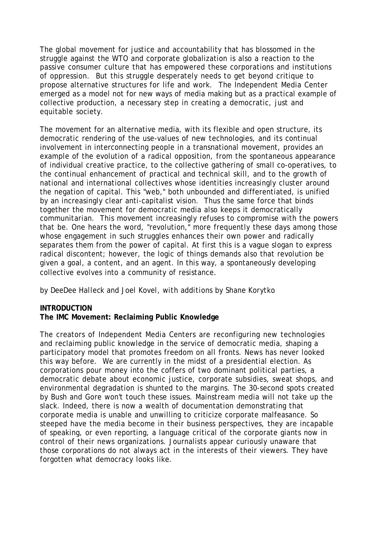The global movement for justice and accountability that has blossomed in the struggle against the WTO and corporate globalization is also a reaction to the passive consumer culture that has empowered these corporations and institutions of oppression. But this struggle desperately needs to get beyond critique to propose alternative structures for life and work. The Independent Media Center emerged as a model not for new ways of media making but as a practical example of collective production, a necessary step in creating a democratic, just and equitable society.

The movement for an alternative media, with its flexible and open structure, its democratic rendering of the use-values of new technologies, and its continual involvement in interconnecting people in a transnational movement, provides an example of the evolution of a radical opposition, from the spontaneous appearance of individual creative practice, to the collective gathering of small co-operatives, to the continual enhancement of practical and technical skill, and to the growth of national and international collectives whose identities increasingly cluster around the negation of capital. This "web," both unbounded and differentiated, is unified by an increasingly clear anti-capitalist vision. Thus the same force that binds together the movement for democratic media also keeps it democratically communitarian. This movement increasingly refuses to compromise with the powers that be. One hears the word, "revolution," more frequently these days among those whose engagement in such struggles enhances their own power and radically separates them from the power of capital. At first this is a vague slogan to express radical discontent; however, the logic of things demands also that revolution be given a goal, a content, and an agent. In this way, a spontaneously developing collective evolves into a community of resistance.

# *by DeeDee Halleck and Joel Kovel, with additions by Shane Korytko*

## **INTRODUCTION**

## **The IMC Movement: Reclaiming Public Knowledge**

The creators of Independent Media Centers are reconfiguring new technologies and reclaiming public knowledge in the service of democratic media, shaping a participatory model that promotes freedom on all fronts. News has never looked this way before. We are currently in the midst of a presidential election. As corporations pour money into the coffers of two dominant political parties, a democratic debate about economic justice, corporate subsidies, sweat shops, and environmental degradation is shunted to the margins. The 30-second spots created by Bush and Gore won't touch these issues. Mainstream media will not take up the slack. Indeed, there is now a wealth of documentation demonstrating that corporate media is unable and unwilling to criticize corporate malfeasance. So steeped have the media become in their business perspectives, they are incapable of speaking, or even reporting, a language critical of the corporate giants now in control of their news organizations. Journalists appear curiously unaware that those corporations do not always act in the interests of their viewers. They have forgotten what democracy looks like.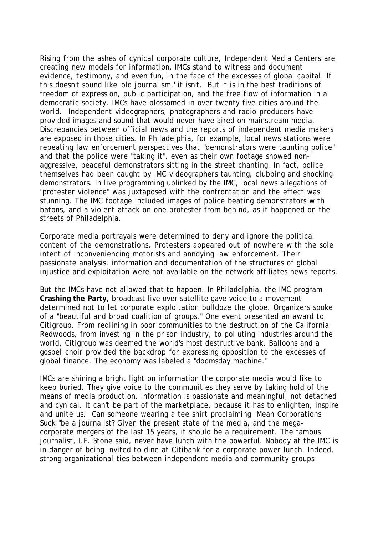Rising from the ashes of cynical corporate culture, Independent Media Centers are creating new models for information. IMCs stand to witness and document evidence, testimony, and even fun, in the face of the excesses of global capital. If this doesn't sound like 'old journalism,' it isn't. But it is in the best traditions of freedom of expression, public participation, and the free flow of information in a democratic society. IMCs have blossomed in over twenty five cities around the world. Independent videographers, photographers and radio producers have provided images and sound that would never have aired on mainstream media. Discrepancies between official news and the reports of independent media makers are exposed in those cities. In Philadelphia, for example, local news stations were repeating law enforcement perspectives that "demonstrators were taunting police" and that the police were "taking it", even as their own footage showed nonaggressive, peaceful demonstrators sitting in the street chanting. In fact, police themselves had been caught by IMC videographers taunting, clubbing and shocking demonstrators. In live programming uplinked by the IMC, local news allegations of "protester violence" was juxtaposed with the confrontation and the effect was stunning. The IMC footage included images of police beating demonstrators with batons, and a violent attack on one protester from behind, as it happened on the streets of Philadelphia.

Corporate media portrayals were determined to deny and ignore the political content of the demonstrations. Protesters appeared out of nowhere with the sole intent of inconveniencing motorists and annoying law enforcement. Their passionate analysis, information and documentation of the structures of global injustice and exploitation were not available on the network affiliates news reports.

But the IMCs have not allowed that to happen. In Philadelphia, the IMC program **Crashing the Party,** broadcast live over satellite gave voice to a movement determined not to let corporate exploitation bulldoze the globe. Organizers spoke of a "beautiful and broad coalition of groups." One event presented an award to Citigroup. From redlining in poor communities to the destruction of the California Redwoods, from investing in the prison industry, to polluting industries around the world, Citigroup was deemed the world's most destructive bank. Balloons and a gospel choir provided the backdrop for expressing opposition to the excesses of global finance. The economy was labeled a "doomsday machine."

IMCs are shining a bright light on information the corporate media would like to keep buried. They give voice to the communities they serve by taking hold of the means of media production. Information is passionate and meaningful, not detached and cynical. It can't be part of the marketplace, because it has to enlighten, inspire and unite us. Can someone wearing a tee shirt proclaiming "Mean Corporations Suck "be a journalist? Given the present state of the media, and the megacorporate mergers of the last 15 years, it should be a requirement. The famous journalist, I.F. Stone said, never have lunch with the powerful. Nobody at the IMC is in danger of being invited to dine at Citibank for a corporate power lunch. Indeed, strong organizational ties between independent media and community groups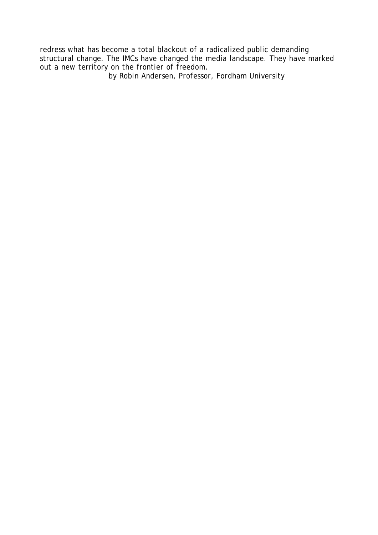redress what has become a total blackout of a radicalized public demanding structural change. The IMCs have changed the media landscape. They have marked out a new territory on the frontier of freedom. *by Robin Andersen, Professor, Fordham University*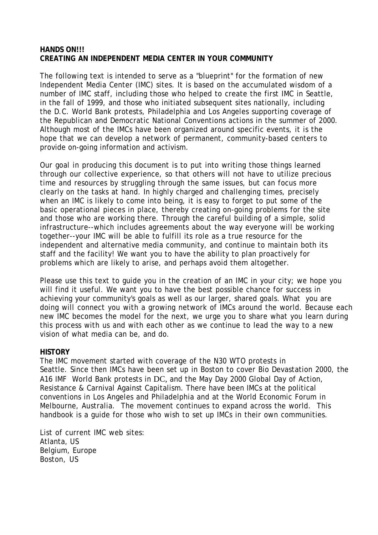## **HANDS ON!!! CREATING AN INDEPENDENT MEDIA CENTER IN YOUR COMMUNITY**

The following text is intended to serve as a "blueprint" for the formation of new Independent Media Center (IMC) sites. It is based on the accumulated wisdom of a number of IMC staff, including those who helped to create the first IMC in Seattle, in the fall of 1999, and those who initiated subsequent sites nationally, including the D.C. World Bank protests, Philadelphia and Los Angeles supporting coverage of the Republican and Democratic National Conventions actions in the summer of 2000. Although most of the IMCs have been organized around specific events, it is the hope that we can develop a network of permanent, community-based centers to provide on-going information and activism.

Our goal in producing this document is to put into writing those things learned through our collective experience, so that others will not have to utilize precious time and resources by struggling through the same issues, but can focus more clearly on the tasks at hand. In highly charged and challenging times, precisely when an IMC is likely to come into being, it is easy to forget to put some of the basic operational pieces in place, thereby creating on-going problems for the site and those who are working there. Through the careful building of a simple, solid infrastructure--which includes agreements about the way everyone will be working together--your IMC will be able to fulfill its role as a true resource for the independent and alternative media community, and continue to maintain both its staff and the facility! We want you to have the ability to plan proactively for problems which are likely to arise, and perhaps avoid them altogether.

Please use this text to guide you in the creation of an IMC in your city; we hope you will find it useful. We want you to have the best possible chance for success in achieving your community's goals as well as our larger, shared goals. What you are doing will connect you with a growing network of IMCs around the world. Because each new IMC becomes the model for the next, we urge you to share what you learn during this process with us and with each other as we continue to lead the way to a new vision of what media can be, and do.

## **HISTORY**

The IMC movement started with coverage of the N30 WTO protests in Seattle. Since then IMCs have been set up in Boston to cover Bio Devastation 2000, the A16 IMF World Bank protests in DC, and the May Day 2000 Global Day of Action, Resistance & Carnival Against Capitalism. There have been IMCs at the political conventions in Los Angeles and Philadelphia and at the World Economic Forum in Melbourne, Australia. The movement continues to expand across the world. This handbook is a guide for those who wish to set up IMCs in their own communities.

List of current IMC web sites: Atlanta, US Belgium, Europe Boston, US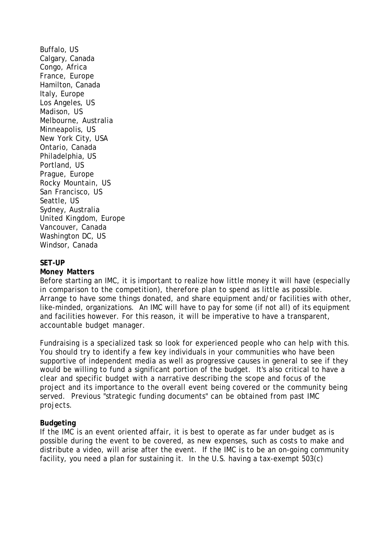Buffalo, US Calgary, Canada Congo, Africa France, Europe Hamilton, Canada Italy, Europe Los Angeles, US Madison, US Melbourne, Australia Minneapolis, US New York City, USA Ontario, Canada Philadelphia, US Portland, US Prague, Europe Rocky Mountain, US San Francisco, US Seattle, US Sydney, Australia United Kingdom, Europe Vancouver, Canada Washington DC, US Windsor, Canada

#### **SET-UP**

#### **Money Matters**

Before starting an IMC, it is important to realize how little money it will have (especially in comparison to the competition), therefore plan to spend as little as possible. Arrange to have some things donated, and share equipment and/or facilities with other, like-minded, organizations. An IMC will have to pay for some (if not all) of its equipment and facilities however. For this reason, it will be imperative to have a transparent, accountable budget manager.

Fundraising is a specialized task so look for experienced people who can help with this. You should try to identify a few key individuals in your communities who have been supportive of independent media as well as progressive causes in general to see if they would be willing to fund a significant portion of the budget. It's also critical to have a clear and specific budget with a narrative describing the scope and focus of the project and its importance to the overall event being covered or the community being served. Previous "strategic funding documents" can be obtained from past IMC projects.

#### **Budgeting**

If the IMC is an event oriented affair, it is best to operate as far under budget as is possible during the event to be covered, as new expenses, such as costs to make and distribute a video, will arise after the event. If the IMC is to be an on-going community facility, you need a plan for sustaining it. In the U.S. having a tax-exempt 503(c)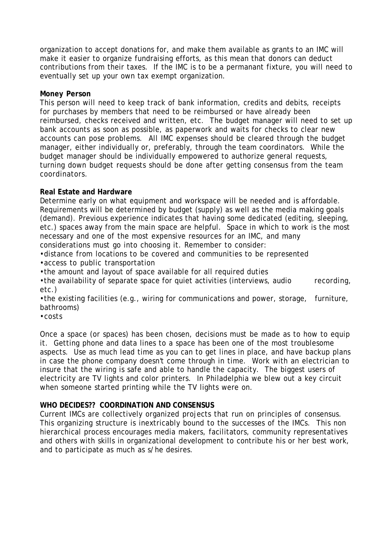organization to accept donations for, and make them available as grants to an IMC will make it easier to organize fundraising efforts, as this mean that donors can deduct contributions from their taxes. If the IMC is to be a permanant fixture, you will need to eventually set up your own tax exempt organization.

## **Money Person**

This person will need to keep track of bank information, credits and debits, receipts for purchases by members that need to be reimbursed or have already been reimbursed, checks received and written, etc. The budget manager will need to set up bank accounts as soon as possible, as paperwork and waits for checks to clear new accounts can pose problems. All IMC expenses should be cleared through the budget manager, either individually or, preferably, through the team coordinators. While the budget manager should be individually empowered to authorize general requests, turning down budget requests should be done after getting consensus from the team coordinators.

# **Real Estate and Hardware**

Determine early on what equipment and workspace will be needed and is affordable. Requirements will be determined by budget (supply) as well as the media making goals (demand). Previous experience indicates that having some dedicated (editing, sleeping, etc.) spaces away from the main space are helpful. Space in which to work is the most necessary and one of the most expensive resources for an IMC, and many considerations must go into choosing it. Remember to consider:

•distance from locations to be covered and communities to be represented

•access to public transportation

•the amount and layout of space available for all required duties

•the availability of separate space for quiet activities (interviews, audio recording, etc.)

•the existing facilities (e.g., wiring for communications and power, storage, furniture, bathrooms)

•costs

Once a space (or spaces) has been chosen, decisions must be made as to how to equip it. Getting phone and data lines to a space has been one of the most troublesome aspects. Use as much lead time as you can to get lines in place, and have backup plans in case the phone company doesn't come through in time. Work with an electrician to insure that the wiring is safe and able to handle the capacity. The biggest users of electricity are TV lights and color printers. In Philadelphia we blew out a key circuit when someone started printing while the TV lights were on.

# **WHO DECIDES?? COORDINATION AND CONSENSUS**

Current IMCs are collectively organized projects that run on principles of consensus. This organizing structure is inextricably bound to the successes of the IMCs. This non hierarchical process encourages media makers, facilitators, community representatives and others with skills in organizational development to contribute his or her best work, and to participate as much as s/he desires.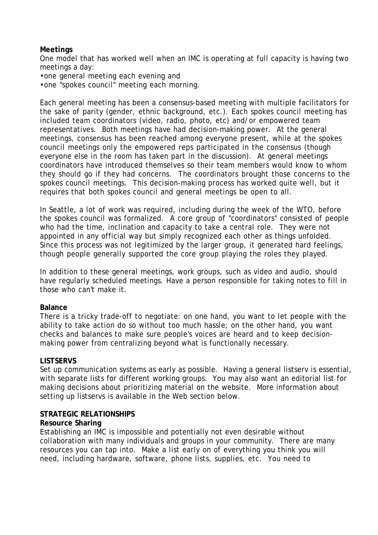## **Meetings**

One model that has worked well when an IMC is operating at full capacity is having two meetings a day:

- •one general meeting each evening and
- •one "spokes council" meeting each morning.

Each general meeting has been a consensus-based meeting with multiple facilitators for the sake of parity (gender, ethnic background, etc.). Each spokes council meeting has included team coordinators (video, radio, photo, etc) and/or empowered team representatives. Both meetings have had decision-making power. At the general meetings, consensus has been reached among everyone present, while at the spokes council meetings only the empowered reps participated in the consensus (though everyone else in the room has taken part in the discussion). At general meetings coordinators have introduced themselves so their team members would know to whom they should go if they had concerns. The coordinators brought those concerns to the spokes council meetings. This decision-making process has worked quite well, but it requires that both spokes council and general meetings be open to all.

In Seattle, a lot of work was required, including during the week of the WTO, before the spokes council was formalized. A core group of "coordinators" consisted of people who had the time, inclination and capacity to take a central role. They were not appointed in any official way but simply recognized each other as things unfolded. Since this process was not legitimized by the larger group, it generated hard feelings, though people generally supported the core group playing the roles they played.

In addition to these general meetings, work groups, such as video and audio, should have regularly scheduled meetings. Have a person responsible for taking notes to fill in those who can't make it.

## **Balance**

There is a tricky trade-off to negotiate: on one hand, you want to let people with the ability to take action do so without too much hassle; on the other hand, you want checks and balances to make sure people's voices are heard and to keep decisionmaking power from centralizing beyond what is functionally necessary.

## **LISTSERVS**

Set up communication systems as early as possible. Having a general listserv is essential, with separate lists for different working groups. You may also want an editorial list for making decisions about prioritizing material on the website. More information about setting up listservs is available in the Web section below.

#### **STRATEGIC RELATIONSHIPS**

#### **Resource Sharing**

Establishing an IMC is impossible and potentially not even desirable without collaboration with many individuals and groups in your community. There are many resources you can tap into. Make a list early on of everything you think you will need, including hardware, software, phone lists, supplies, etc. You need to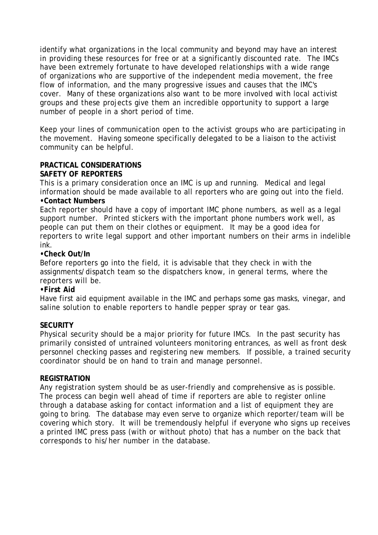identify what organizations in the local community and beyond may have an interest in providing these resources for free or at a significantly discounted rate. The IMCs have been extremely fortunate to have developed relationships with a wide range of organizations who are supportive of the independent media movement, the free flow of information, and the many progressive issues and causes that the IMC's cover. Many of these organizations also want to be more involved with local activist groups and these projects give them an incredible opportunity to support a large number of people in a short period of time.

Keep your lines of communication open to the activist groups who are participating in the movement. Having someone specifically delegated to be a liaison to the activist community can be helpful.

## **PRACTICAL CONSIDERATIONS SAFETY OF REPORTERS**

This is a primary consideration once an IMC is up and running. Medical and legal information should be made available to all reporters who are going out into the field. **•Contact Numbers**

Each reporter should have a copy of important IMC phone numbers, as well as a legal support number. Printed stickers with the important phone numbers work well, as people can put them on their clothes or equipment. It may be a good idea for reporters to write legal support and other important numbers on their arms in indelible ink.

## **•Check Out/In**

Before reporters go into the field, it is advisable that they check in with the assignments/dispatch team so the dispatchers know, in general terms, where the reporters will be.

## **•First Aid**

Have first aid equipment available in the IMC and perhaps some gas masks, vinegar, and saline solution to enable reporters to handle pepper spray or tear gas.

## **SECURITY**

Physical security should be a major priority for future IMCs. In the past security has primarily consisted of untrained volunteers monitoring entrances, as well as front desk personnel checking passes and registering new members. If possible, a trained security coordinator should be on hand to train and manage personnel.

## **REGISTRATION**

Any registration system should be as user-friendly and comprehensive as is possible. The process can begin well ahead of time if reporters are able to register online through a database asking for contact information and a list of equipment they are going to bring. The database may even serve to organize which reporter/team will be covering which story. It will be tremendously helpful if everyone who signs up receives a printed IMC press pass (with or without photo) that has a number on the back that corresponds to his/her number in the database.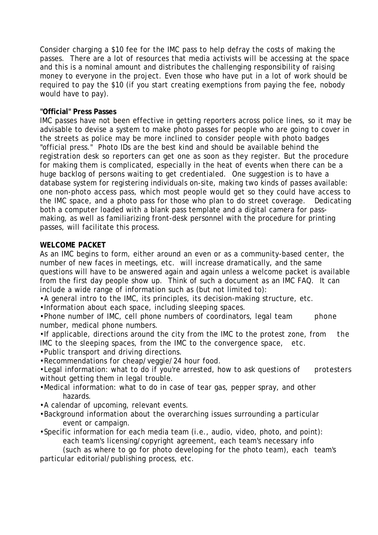Consider charging a \$10 fee for the IMC pass to help defray the costs of making the passes. There are a lot of resources that media activists will be accessing at the space and this is a nominal amount and distributes the challenging responsibility of raising money to everyone in the project. Even those who have put in a lot of work should be required to pay the \$10 (if you start creating exemptions from paying the fee, nobody would have to pay).

## **"Official" Press Passes**

IMC passes have not been effective in getting reporters across police lines, so it may be advisable to devise a system to make photo passes for people who are going to cover in the streets as police may be more inclined to consider people with photo badges "official press." Photo IDs are the best kind and should be available behind the registration desk so reporters can get one as soon as they register. But the procedure for making them is complicated, especially in the heat of events when there can be a huge backlog of persons waiting to get credentialed. One suggestion is to have a database system for registering individuals on-site, making two kinds of passes available: one non-photo access pass, which most people would get so they could have access to the IMC space, and a photo pass for those who plan to do street coverage. Dedicating both a computer loaded with a blank pass template and a digital camera for passmaking, as well as familiarizing front-desk personnel with the procedure for printing passes, will facilitate this process.

## **WELCOME PACKET**

As an IMC begins to form, either around an even or as a community-based center, the number of new faces in meetings, etc. will increase dramatically, and the same questions will have to be answered again and again unless a welcome packet is available from the first day people show up. Think of such a document as an IMC FAQ. It can include a wide range of information such as (but not limited to):

•A general intro to the IMC, its principles, its decision-making structure, etc.

•Information about each space, including sleeping spaces.

•Phone number of IMC, cell phone numbers of coordinators, legal team phone number, medical phone numbers.

•If applicable, directions around the city from the IMC to the protest zone, from the IMC to the sleeping spaces, from the IMC to the convergence space, etc.

•Public transport and driving directions.

•Recommendations for cheap/veggie/24 hour food.

•Legal information: what to do if you're arrested, how to ask questions of protesters without getting them in legal trouble.

- •Medical information: what to do in case of tear gas, pepper spray, and other hazards.
- •A calendar of upcoming, relevant events.
- •Background information about the overarching issues surrounding a particular event or campaign.

•Specific information for each media team (i.e., audio, video, photo, and point): each team's licensing/copyright agreement, each team's necessary info

(such as where to go for photo developing for the photo team), each team's particular editorial/publishing process, etc.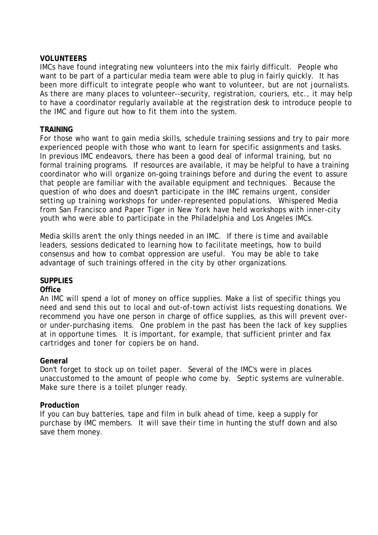## **VOLUNTEERS**

IMCs have found integrating new volunteers into the mix fairly difficult. People who want to be part of a particular media team were able to plug in fairly quickly. It has been more difficult to integrate people who want to volunteer, but are not journalists. As there are many places to volunteer--security, registration, couriers, etc., it may help to have a coordinator regularly available at the registration desk to introduce people to the IMC and figure out how to fit them into the system.

## **TRAINING**

For those who want to gain media skills, schedule training sessions and try to pair more experienced people with those who want to learn for specific assignments and tasks. In previous IMC endeavors, there has been a good deal of informal training, but no formal training programs. If resources are available, it may be helpful to have a training coordinator who will organize on-going trainings before and during the event to assure that people are familiar with the available equipment and techniques. Because the question of who does and doesn't participate in the IMC remains urgent, consider setting up training workshops for under-represented populations. Whispered Media from San Francisco and Paper Tiger in New York have held workshops with inner-city youth who were able to participate in the Philadelphia and Los Angeles IMCs.

Media skills aren't the only things needed in an IMC. If there is time and available leaders, sessions dedicated to learning how to facilitate meetings, how to build consensus and how to combat oppression are useful. You may be able to take advantage of such trainings offered in the city by other organizations.

# **SUPPLIES**

## **Office**

An IMC will spend a lot of money on office supplies. Make a list of specific things you need and send this out to local and out-of-town activist lists requesting donations. We recommend you have one person in charge of office supplies, as this will prevent overor under-purchasing items. One problem in the past has been the lack of key supplies at in opportune times. It is important, for example, that sufficient printer and fax cartridges and toner for copiers be on hand.

## **General**

Don't forget to stock up on toilet paper. Several of the IMC's were in places unaccustomed to the amount of people who come by. Septic systems are vulnerable. Make sure there is a toilet plunger ready.

## **Production**

If you can buy batteries, tape and film in bulk ahead of time, keep a supply for purchase by IMC members. It will save their time in hunting the stuff down and also save them money.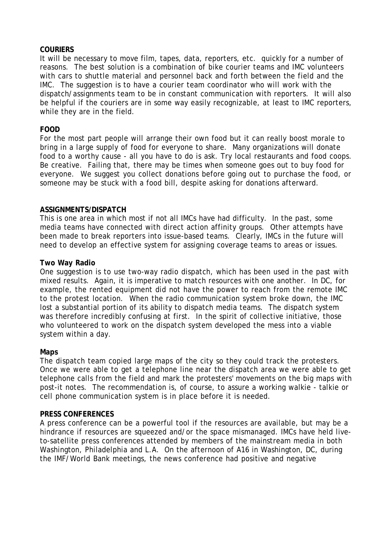## **COURIERS**

It will be necessary to move film, tapes, data, reporters, etc. quickly for a number of reasons. The best solution is a combination of bike courier teams and IMC volunteers with cars to shuttle material and personnel back and forth between the field and the IMC. The suggestion is to have a courier team coordinator who will work with the dispatch/assignments team to be in constant communication with reporters. It will also be helpful if the couriers are in some way easily recognizable, at least to IMC reporters, while they are in the field.

## **FOOD**

For the most part people will arrange their own food but it can really boost morale to bring in a large supply of food for everyone to share. Many organizations will donate food to a worthy cause - all you have to do is ask. Try local restaurants and food coops. Be creative. Failing that, there may be times when someone goes out to buy food for everyone. We suggest you collect donations before going out to purchase the food, or someone may be stuck with a food bill, despite asking for donations afterward.

## **ASSIGNMENTS/DISPATCH**

This is one area in which most if not all IMCs have had difficulty. In the past, some media teams have connected with direct action affinity groups. Other attempts have been made to break reporters into issue-based teams. Clearly, IMCs in the future will need to develop an effective system for assigning coverage teams to areas or issues.

## **Two Way Radio**

One suggestion is to use two-way radio dispatch, which has been used in the past with mixed results. Again, it is imperative to match resources with one another. In DC, for example, the rented equipment did not have the power to reach from the remote IMC to the protest location. When the radio communication system broke down, the IMC lost a substantial portion of its ability to dispatch media teams. The dispatch system was therefore incredibly confusing at first. In the spirit of collective initiative, those who volunteered to work on the dispatch system developed the mess into a viable system within a day.

## **Maps**

The dispatch team copied large maps of the city so they could track the protesters. Once we were able to get a telephone line near the dispatch area we were able to get telephone calls from the field and mark the protesters' movements on the big maps with post-it notes. The recommendation is, of course, to assure a working walkie - talkie or cell phone communication system is in place before it is needed.

#### **PRESS CONFERENCES**

A press conference can be a powerful tool if the resources are available, but may be a hindrance if resources are squeezed and/or the space mismanaged. IMCs have held liveto-satellite press conferences attended by members of the mainstream media in both Washington, Philadelphia and L.A. On the afternoon of A16 in Washington, DC, during the IMF/World Bank meetings, the news conference had positive and negative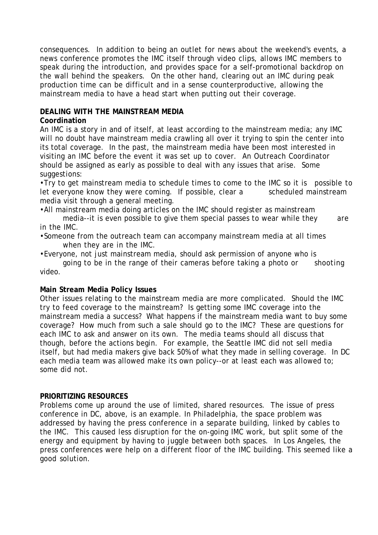consequences. In addition to being an outlet for news about the weekend's events, a news conference promotes the IMC itself through video clips, allows IMC members to speak during the introduction, and provides space for a self-promotional backdrop on the wall behind the speakers. On the other hand, clearing out an IMC during peak production time can be difficult and in a sense counterproductive, allowing the mainstream media to have a head start when putting out their coverage.

# **DEALING WITH THE MAINSTREAM MEDIA**

## **Coordination**

An IMC is a story in and of itself, at least according to the mainstream media; any IMC will no doubt have mainstream media crawling all over it trying to spin the center into its total coverage. In the past, the mainstream media have been most interested in visiting an IMC before the event it was set up to cover. An Outreach Coordinator should be assigned as early as possible to deal with any issues that arise. Some suggestions:

•Try to get mainstream media to schedule times to come to the IMC so it is possible to let everyone know they were coming. If possible, clear a scheduled mainstream media visit through a general meeting.

•All mainstream media doing articles on the IMC should register as mainstream media--it is even possible to give them special passes to wear while they are in the IMC.

•Someone from the outreach team can accompany mainstream media at all times when they are in the IMC.

•Everyone, not just mainstream media, should ask permission of anyone who is

going to be in the range of their cameras before taking a photo or shooting video.

# **Main Stream Media Policy Issues**

Other issues relating to the mainstream media are more complicated. Should the IMC try to feed coverage to the mainstream? Is getting some IMC coverage into the mainstream media a success? What happens if the mainstream media want to buy some coverage? How much from such a sale should go to the IMC? These are questions for each IMC to ask and answer on its own. The media teams should all discuss that though, before the actions begin. For example, the Seattle IMC did not sell media itself, but had media makers give back 50% of what they made in selling coverage. In DC each media team was allowed make its own policy--or at least each was allowed to; some did not.

# **PRIORITIZING RESOURCES**

Problems come up around the use of limited, shared resources. The issue of press conference in DC, above, is an example. In Philadelphia, the space problem was addressed by having the press conference in a separate building, linked by cables to the IMC. This caused less disruption for the on-going IMC work, but split some of the energy and equipment by having to juggle between both spaces. In Los Angeles, the press conferences were help on a different floor of the IMC building. This seemed like a good solution.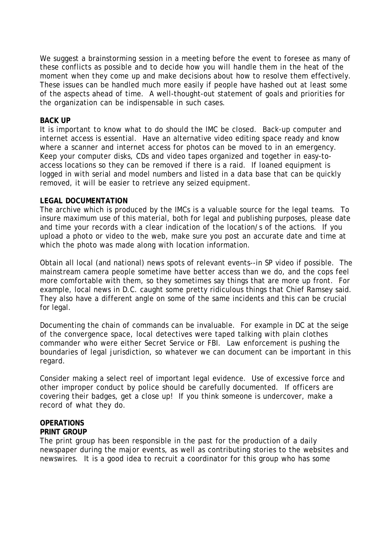We suggest a brainstorming session in a meeting before the event to foresee as many of these conflicts as possible and to decide how you will handle them in the heat of the moment when they come up and make decisions about how to resolve them effectively. These issues can be handled much more easily if people have hashed out at least some of the aspects ahead of time. A well-thought-out statement of goals and priorities for the organization can be indispensable in such cases.

#### **BACK UP**

It is important to know what to do should the IMC be closed. Back-up computer and internet access is essential. Have an alternative video editing space ready and know where a scanner and internet access for photos can be moved to in an emergency. Keep your computer disks, CDs and video tapes organized and together in easy-toaccess locations so they can be removed if there is a raid. If loaned equipment is logged in with serial and model numbers and listed in a data base that can be quickly removed, it will be easier to retrieve any seized equipment.

## **LEGAL DOCUMENTATION**

The archive which is produced by the IMCs is a valuable source for the legal teams. To insure maximum use of this material, both for legal and publishing purposes, please date and time your records with a clear indication of the location/s of the actions. If you upload a photo or video to the web, make sure you post an accurate date and time at which the photo was made along with location information.

Obtain all local (and national) news spots of relevant events--in SP video if possible. The mainstream camera people sometime have better access than we do, and the cops feel more comfortable with them, so they sometimes say things that are more up front. For example, local news in D.C. caught some pretty ridiculous things that Chief Ramsey said. They also have a different angle on some of the same incidents and this can be crucial for legal.

Documenting the chain of commands can be invaluable. For example in DC at the seige of the convergence space, local detectives were taped talking with plain clothes commander who were either Secret Service or FBI. Law enforcement is pushing the boundaries of legal jurisdiction, so whatever we can document can be important in this regard.

Consider making a select reel of important legal evidence. Use of excessive force and other improper conduct by police should be carefully documented. If officers are covering their badges, get a close up! If you think someone is undercover, make a record of what they do.

#### **OPERATIONS PRINT GROUP**

The print group has been responsible in the past for the production of a daily newspaper during the major events, as well as contributing stories to the websites and newswires. It is a good idea to recruit a coordinator for this group who has some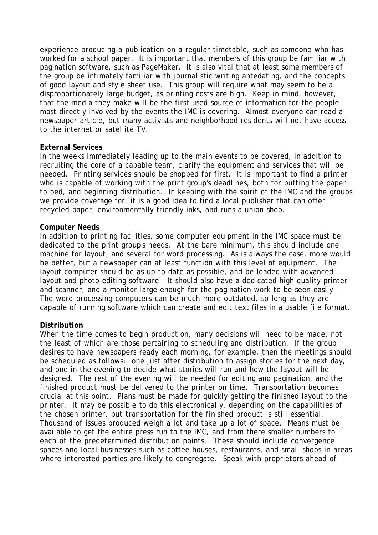experience producing a publication on a regular timetable, such as someone who has worked for a school paper. It is important that members of this group be familiar with pagination software, such as PageMaker. It is also vital that at least some members of the group be intimately familiar with journalistic writing antedating, and the concepts of good layout and style sheet use. This group will require what may seem to be a disproportionately large budget, as printing costs are high. Keep in mind, however, that the media they make will be the first-used source of information for the people most directly involved by the events the IMC is covering. Almost everyone can read a newspaper article, but many activists and neighborhood residents will not have access to the internet or satellite TV.

## **External Services**

In the weeks immediately leading up to the main events to be covered, in addition to recruiting the core of a capable team, clarify the equipment and services that will be needed. Printing services should be shopped for first. It is important to find a printer who is capable of working with the print group's deadlines, both for putting the paper to bed, and beginning distribution. In keeping with the spirit of the IMC and the groups we provide coverage for, it is a good idea to find a local publisher that can offer recycled paper, environmentally-friendly inks, and runs a union shop.

#### **Computer Needs**

In addition to printing facilities, some computer equipment in the IMC space must be dedicated to the print group's needs. At the bare minimum, this should include one machine for layout, and several for word processing. As is always the case, more would be better, but a newspaper can at least function with this level of equipment. The layout computer should be as up-to-date as possible, and be loaded with advanced layout and photo-editing software. It should also have a dedicated high-quality printer and scanner, and a monitor large enough for the pagination work to be seen easily. The word processing computers can be much more outdated, so long as they are capable of running software which can create and edit text files in a usable file format.

## **Distribution**

When the time comes to begin production, many decisions will need to be made, not the least of which are those pertaining to scheduling and distribution. If the group desires to have newspapers ready each morning, for example, then the meetings should be scheduled as follows: one just after distribution to assign stories for the next day, and one in the evening to decide what stories will run and how the layout will be designed. The rest of the evening will be needed for editing and pagination, and the finished product must be delivered to the printer on time. Transportation becomes crucial at this point. Plans must be made for quickly getting the finished layout to the printer. It may be possible to do this electronically, depending on the capabilities of the chosen printer, but transportation for the finished product is still essential. Thousand of issues produced weigh a lot and take up a lot of space. Means must be available to get the entire press run to the IMC, and from there smaller numbers to each of the predetermined distribution points. These should include convergence spaces and local businesses such as coffee houses, restaurants, and small shops in areas where interested parties are likely to congregate. Speak with proprietors ahead of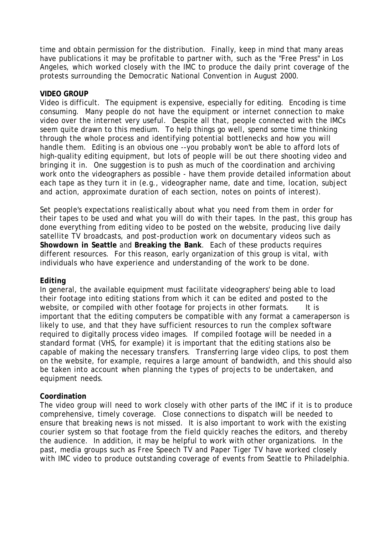time and obtain permission for the distribution. Finally, keep in mind that many areas have publications it may be profitable to partner with, such as the "Free Press" in Los Angeles, which worked closely with the IMC to produce the daily print coverage of the protests surrounding the Democratic National Convention in August 2000.

## **VIDEO GROUP**

Video is difficult. The equipment is expensive, especially for editing. Encoding is time consuming. Many people do not have the equipment or internet connection to make video over the internet very useful. Despite all that, people connected with the IMCs seem quite drawn to this medium. To help things go well, spend some time thinking through the whole process and identifying potential bottlenecks and how you will handle them. Editing is an obvious one --you probably won't be able to afford lots of high-quality editing equipment, but lots of people will be out there shooting video and bringing it in. One suggestion is to push as much of the coordination and archiving work onto the videographers as possible - have them provide detailed information about each tape as they turn it in (e.g., videographer name, date and time, location, subject and action, approximate duration of each section, notes on points of interest).

Set people's expectations realistically about what you need from them in order for their tapes to be used and what you will do with their tapes. In the past, this group has done everything from editing video to be posted on the website, producing live daily satellite TV broadcasts, and post-production work on documentary videos such as **Showdown in Seattle** and **Breaking the Bank**. Each of these products requires different resources. For this reason, early organization of this group is vital, with individuals who have experience and understanding of the work to be done.

## **Editing**

In general, the available equipment must facilitate videographers' being able to load their footage into editing stations from which it can be edited and posted to the website, or compiled with other footage for projects in other formats. It is important that the editing computers be compatible with any format a cameraperson is likely to use, and that they have sufficient resources to run the complex software required to digitally process video images. If compiled footage will be needed in a standard format (VHS, for example) it is important that the editing stations also be capable of making the necessary transfers. Transferring large video clips, to post them on the website, for example, requires a large amount of bandwidth, and this should also be taken into account when planning the types of projects to be undertaken, and equipment needs.

#### **Coordination**

The video group will need to work closely with other parts of the IMC if it is to produce comprehensive, timely coverage. Close connections to dispatch will be needed to ensure that breaking news is not missed. It is also important to work with the existing courier system so that footage from the field quickly reaches the editors, and thereby the audience. In addition, it may be helpful to work with other organizations. In the past, media groups such as Free Speech TV and Paper Tiger TV have worked closely with IMC video to produce outstanding coverage of events from Seattle to Philadelphia.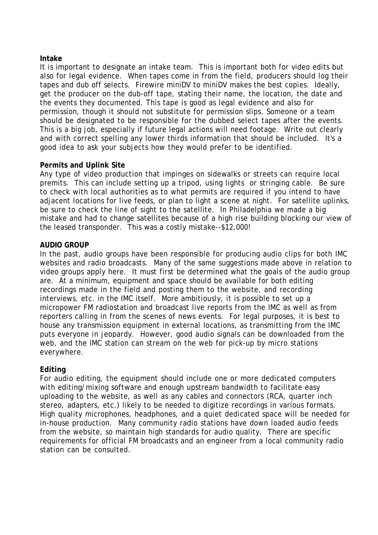## **Intake**

It is important to designate an intake team. This is important both for video edits but also for legal evidence. When tapes come in from the field, producers should log their tapes and dub off selects. Firewire miniDV to miniDV makes the best copies. Ideally, get the producer on the dub-off tape, stating their name, the location, the date and the events they documented. This tape is good as legal evidence and also for permission, though it should not substitute for permission slips. Someone or a team should be designated to be responsible for the dubbed select tapes after the events. This is a big job, especially if future legal actions will need footage. Write out clearly and with correct spelling any lower thirds information that should be included. It's a good idea to ask your subjects how they would prefer to be identified.

## **Permits and Uplink Site**

Any type of video production that impinges on sidewalks or streets can require local premits. This can include setting up a tripod, using lights or stringing cable. Be sure to check with local authorities as to what permits are required if you intend to have adjacent locations for live feeds, or plan to light a scene at night. For satellite uplinks, be sure to check the line of sight to the satellite. In Philadelphia we made a big mistake and had to change satellites because of a high rise building blocking our view of the leased transponder. This was a costly mistake--\$12,000!

## **AUDIO GROUP**

In the past, audio groups have been responsible for producing audio clips for both IMC websites and radio broadcasts. Many of the same suggestions made above in relation to video groups apply here. It must first be determined what the goals of the audio group are. At a minimum, equipment and space should be available for both editing recordings made in the field and posting them to the website, and recording interviews, etc. in the IMC itself. More ambitiously, it is possible to set up a micropower FM radiostation and broadcast live reports from the IMC as well as from reporters calling in from the scenes of news events. For legal purposes, it is best to house any transmission equipment in external locations, as transmitting from the IMC puts everyone in jeopardy. However, good audio signals can be downloaded from the web, and the IMC station can stream on the web for pick-up by micro stations everywhere.

## **Editing**

For audio editing, the equipment should include one or more dedicated computers with editing/mixing software and enough upstream bandwidth to facilitate easy uploading to the website, as well as any cables and connectors (RCA, quarter inch stereo, adapters, etc.) likely to be needed to digitize recordings in various formats. High quality microphones, headphones, and a quiet dedicated space will be needed for in-house production. Many community radio stations have down loaded audio feeds from the website, so maintain high standards for audio quality. There are specific requirements for official FM broadcasts and an engineer from a local community radio station can be consulted.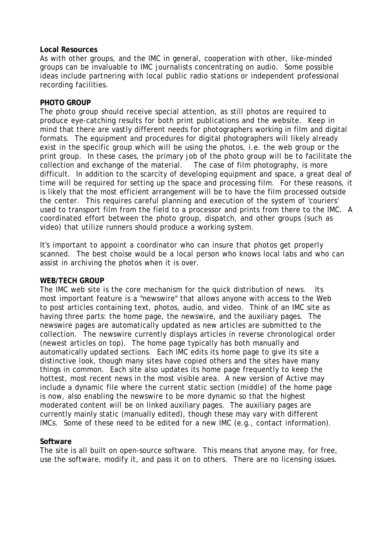#### **Local Resources**

As with other groups, and the IMC in general, cooperation with other, like-minded groups can be invaluable to IMC journalists concentrating on audio. Some possible ideas include partnering with local public radio stations or independent professional recording facilities.

#### **PHOTO GROUP**

The photo group should receive special attention, as still photos are required to produce eye-catching results for both print publications and the website. Keep in mind that there are vastly different needs for photographers working in film and digital formats. The equipment and procedures for digital photographers will likely already exist in the specific group which will be using the photos, i.e. the web group or the print group. In these cases, the primary job of the photo group will be to facilitate the collection and exchange of the material. The case of film photography, is more difficult. In addition to the scarcity of developing equipment and space, a great deal of time will be required for setting up the space and processing film. For these reasons, it is likely that the most efficient arrangement will be to have the film processed outside the center. This requires careful planning and execution of the system of 'couriers' used to transport film from the field to a processor and prints from there to the IMC. A coordinated effort between the photo group, dispatch, and other groups (such as video) that utilize runners should produce a working system.

It's important to appoint a coordinator who can insure that photos get properly scanned. The best choise would be a local person who knows local labs and who can assist in archiving the photos when it is over.

## **WEB/TECH GROUP**

The IMC web site is the core mechanism for the quick distribution of news. Its most important feature is a "newswire" that allows anyone with access to the Web to post articles containing text, photos, audio, and video. Think of an IMC site as having three parts: the home page, the newswire, and the auxiliary pages. The newswire pages are automatically updated as new articles are submitted to the collection. The newswire currently displays articles in reverse chronological order (newest articles on top). The home page typically has both manually and automatically updated sections. Each IMC edits its home page to give its site a distinctive look, though many sites have copied others and the sites have many things in common. Each site also updates its home page frequently to keep the hottest, most recent news in the most visible area. A new version of Active may include a dynamic file where the current static section (middle) of the home page is now, also enabling the newswire to be more dynamic so that the highest moderated content will be on linked auxiliary pages. The auxiliary pages are currently mainly static (manually edited), though these may vary with different IMCs. Some of these need to be edited for a new IMC (e.g., contact information).

## **Software**

The site is all built on open-source software. This means that anyone may, for free, use the software, modify it, and pass it on to others. There are no licensing issues.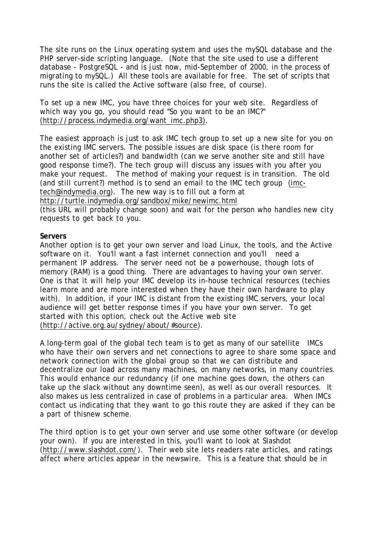The site runs on the Linux operating system and uses the mySQL database and the PHP server-side scripting language. (Note that the site used to use a different database - PostgreSQL - and is just now, mid-September of 2000, in the process of migrating to mySQL.) All these tools are available for free. The set of scripts that runs the site is called the Active software (also free, of course).

To set up a new IMC, you have three choices for your web site. Regardless of which way you go, you should read "So you want to be an IMC?" (http://process.indymedia.org/want\_imc.php3).

The easiest approach is just to ask IMC tech group to set up a new site for you on the existing IMC servers. The possible issues are disk space (is there room for another set of articles?) and bandwidth (can we serve another site and still have good response time?). The tech group will discuss any issues with you after you make your request. The method of making your request is in transition. The old (and still current?) method is to send an email to the IMC tech group (imctech@indymedia.org). The new way is to fill out a form at http://turtle.indymedia.org/sandbox/mike/newimc.html

(this URL will probably change soon) and wait for the person who handles new city requests to get back to you.

#### **Servers**

Another option is to get your own server and load Linux, the tools, and the Active software on it. You'll want a fast internet connection and you'll need a permanent IP address. The server need not be a powerhouse, though lots of memory (RAM) is a good thing. There are advantages to having your own server. One is that it will help your IMC develop its in-house technical resources (techies learn more and are more interested when they have their own hardware to play with). In addition, if your IMC is distant from the existing IMC servers, your local audience will get better response times if you have your own server. To get started with this option, check out the Active web site (http://active.org.au/sydney/about/#source).

A long-term goal of the global tech team is to get as many of our satellite IMCs who have their own servers and net connections to agree to share some space and network connection with the global group so that we can distribute and decentralize our load across many machines, on many networks, in many countries. This would enhance our redundancy (if one machine goes down, the others can take up the slack without any downtime seen), as well as our overall resources. It also makes us less centralized in case of problems in a particular area. When IMCs contact us indicating that they want to go this route they are asked if they can be a part of thisnew scheme.

The third option is to get your own server and use some other software (or develop your own). If you are interested in this, you'll want to look at Slashdot (http://www.slashdot.com/). Their web site lets readers rate articles, and ratings affect where articles appear in the newswire. This is a feature that should be in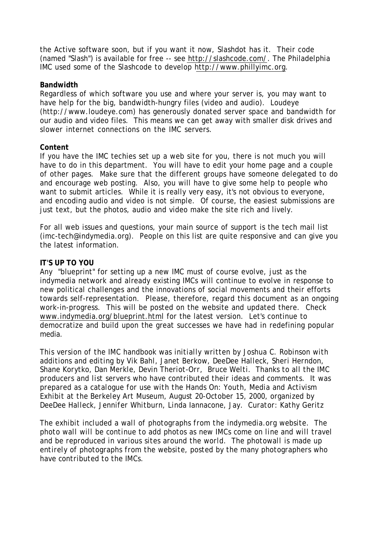the Active software soon, but if you want it now, Slashdot has it. Their code (named "Slash") is available for free -- see http://slashcode.com/. The Philadelphia IMC used some of the Slashcode to develop http://www.phillyimc.org.

## **Bandwidth**

Regardless of which software you use and where your server is, you may want to have help for the big, bandwidth-hungry files (video and audio). Loudeye (http://www.loudeye.com) has generously donated server space and bandwidth for our audio and video files. This means we can get away with smaller disk drives and slower internet connections on the IMC servers.

## **Content**

If you have the IMC techies set up a web site for you, there is not much you will have to do in this department. You will have to edit your home page and a couple of other pages. Make sure that the different groups have someone delegated to do and encourage web posting. Also, you will have to give some help to people who want to submit articles. While it is really very easy, it's not obvious to everyone, and encoding audio and video is not simple. Of course, the easiest submissions are just text, but the photos, audio and video make the site rich and lively.

For all web issues and questions, your main source of support is the tech mail list (imc-tech@indymedia.org). People on this list are quite responsive and can give you the latest information.

## **IT'S UP TO YOU**

Any "blueprint" for setting up a new IMC must of course evolve, just as the indymedia network and already existing IMCs will continue to evolve in response to new political challenges and the innovations of social movements and their efforts towards self-representation. Please, therefore, regard this document as an ongoing work-in-progress. This will be posted on the website and updated there. Check www.indymedia.org/blueprint.html for the latest version. Let's continue to democratize and build upon the great successes we have had in redefining popular media.

*This version of the IMC handbook was initially written by Joshua C. Robinson with additions and editing by Vik Bahl, Janet Berkow, DeeDee Halleck, Sheri Herndon, Shane Korytko, Dan Merkle, Devin Theriot-Orr, Bruce Welti. Thanks to all the IMC producers and list servers who have contributed their ideas and comments. It was prepared as a catalogue for use with the Hands On: Youth, Media and Activism Exhibit at the Berkeley Art Museum, August 20-October 15, 2000, organized by DeeDee Halleck, Jennifer Whitburn, Linda Iannacone, Jay. Curator: Kathy Geritz*

*The exhibit included a wall of photographs from the indymedia.org website. The photo wall will be continue to add photos as new IMCs come on line and will travel and be reproduced in various sites around the world. The photowall is made up entirely of photographs from the website, posted by the many photographers who have contributed to the IMCs.*